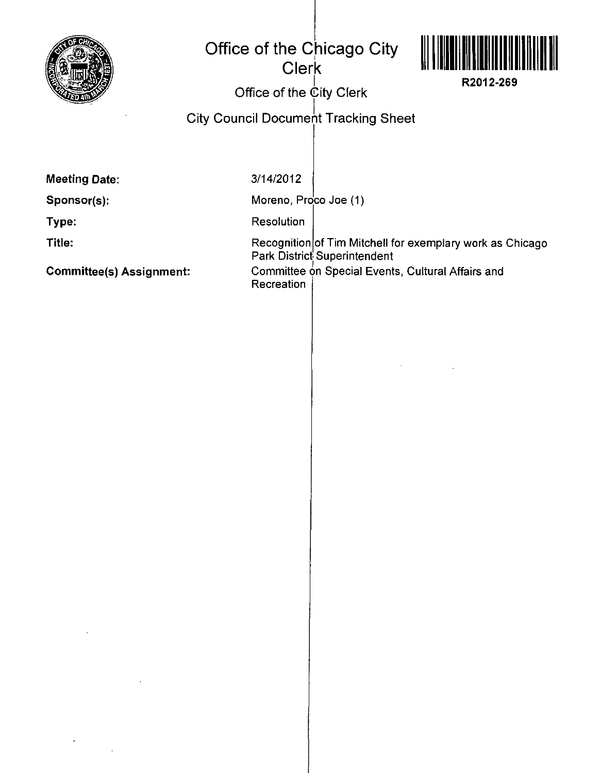

## **Office of the Chicago City Clerk**



**R2012-269** 

Office of the  $\dot{\mathbb{C}}$ ity Clerk

City Council Document Tracking Sheet

**Meeting Date:** 

**Sponsor(s):** 

**Type:** 

**Title:** 

**Committee(s) Assignment:** 

3/14/2012

Moreno, Proco Joe (1)

Resolution

Recognition of Tim Mitchell for exemplary work as Chicago Park District Superintendent Committee on Special Events, Cultural Affairs and **Recreation**